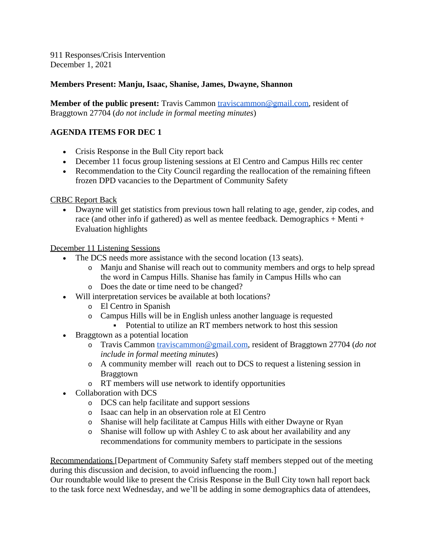911 Responses/Crisis Intervention December 1, 2021

## **Members Present: Manju, Isaac, Shanise, James, Dwayne, Shannon**

**Member of the public present:** Travis Cammon [traviscammon@gmail.com,](mailto:traviscammon@gmail.com) resident of Braggtown 27704 (*do not include in formal meeting minutes*)

## **AGENDA ITEMS FOR DEC 1**

- Crisis Response in the Bull City report back
- December 11 focus group listening sessions at El Centro and Campus Hills rec center
- Recommendation to the City Council regarding the reallocation of the remaining fifteen frozen DPD vacancies to the Department of Community Safety

CRBC Report Back

 Dwayne will get statistics from previous town hall relating to age, gender, zip codes, and race (and other info if gathered) as well as mentee feedback. Demographics + Menti + Evaluation highlights

December 11 Listening Sessions

- The DCS needs more assistance with the second location (13 seats).
	- o Manju and Shanise will reach out to community members and orgs to help spread the word in Campus Hills. Shanise has family in Campus Hills who can
	- o Does the date or time need to be changed?
- Will interpretation services be available at both locations?
	- o El Centro in Spanish
	- o Campus Hills will be in English unless another language is requested
		- Potential to utilize an RT members network to host this session
- Braggtown as a potential location
	- o Travis Cammon [traviscammon@gmail.com,](mailto:traviscammon@gmail.com) resident of Braggtown 27704 (*do not include in formal meeting minutes*)
	- o A community member will reach out to DCS to request a listening session in Braggtown
	- o RT members will use network to identify opportunities
- Collaboration with DCS
	- o DCS can help facilitate and support sessions
	- o Isaac can help in an observation role at El Centro
	- o Shanise will help facilitate at Campus Hills with either Dwayne or Ryan
	- o Shanise will follow up with Ashley C to ask about her availability and any recommendations for community members to participate in the sessions

Recommendations [Department of Community Safety staff members stepped out of the meeting during this discussion and decision, to avoid influencing the room.]

Our roundtable would like to present the Crisis Response in the Bull City town hall report back to the task force next Wednesday, and we'll be adding in some demographics data of attendees,